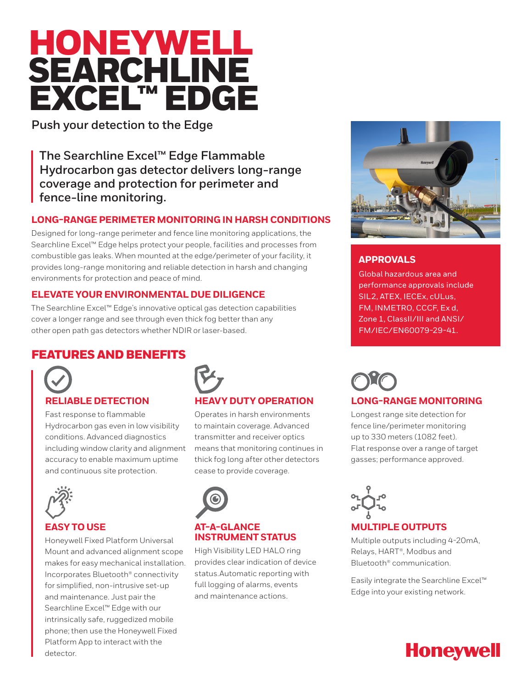# HONEYWELL **SEARCHLINE** EXCEL™ EDGE

**Push your detection to the Edge**

**The Searchline Excel™ Edge Flammable Hydrocarbon gas detector delivers long-range coverage and protection for perimeter and fence-line monitoring.**

## **LONG-RANGE PERIMETER MONITORING IN HARSH CONDITIONS**

Designed for long-range perimeter and fence line monitoring applications, the Searchline Excel™ Edge helps protect your people, facilities and processes from combustible gas leaks. When mounted at the edge/perimeter of your facility, it provides long-range monitoring and reliable detection in harsh and changing environments for protection and peace of mind.

## **ELEVATE YOUR ENVIRONMENTAL DUE DILIGENCE**

The Searchline Excel™ Edge's innovative optical gas detection capabilities cover a longer range and see through even thick fog better than any other open path gas detectors whether NDIR or laser-based.

# FEATURES AND BENEFITS



Fast response to flammable Hydrocarbon gas even in low visibility conditions. Advanced diagnostics including window clarity and alignment accuracy to enable maximum uptime and continuous site protection.



## **EASY TO USE**

Honeywell Fixed Platform Universal Mount and advanced alignment scope makes for easy mechanical installation. Incorporates Bluetooth® connectivity for simplified, non-intrusive set-up and maintenance. Just pair the Searchline Excel™ Edge with our intrinsically safe, ruggedized mobile phone; then use the Honeywell Fixed Platform App to interact with the detector.



# **HEAVY DUTY OPERATION**

Operates in harsh environments to maintain coverage. Advanced transmitter and receiver optics means that monitoring continues in thick fog long after other detectors cease to provide coverage.



#### **AT-A-GLANCE INSTRUMENT STATUS**

High Visibility LED HALO ring provides clear indication of device status.Automatic reporting with full logging of alarms, events and maintenance actions.



## **APPROVALS**

Global hazardous area and performance approvals include SIL2, ATEX, IECEx, cULus, FM, INMETRO, CCCF, Ex d, Zone 1, ClassII/III and ANSI/ FM/IEC/EN60079-29-41.



Longest range site detection for fence line/perimeter monitoring up to 330 meters (1082 feet). Flat response over a range of target gasses; performance approved.



#### **MULTIPLE OUTPUTS**

Multiple outputs including 4-20mA, Relays, HART®, Modbus and Bluetooth® communication.

Easily integrate the Searchline Excel™ Edge into your existing network.

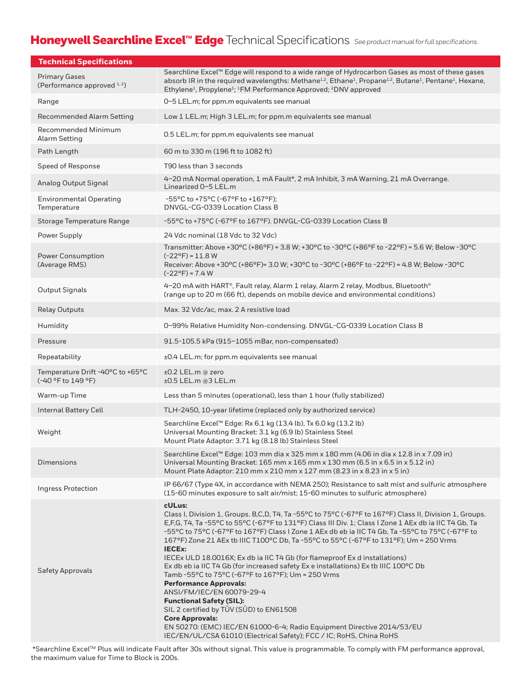# Honeywell Searchline Excel™ Edge Technical Specifications *See product manual for full specifications*.

| <b>Technical Specifications</b>                        |                                                                                                                                                                                                                                                                                                                                                                                                                                                                                                                                                                                                                                                                                                                                                                                                                                                                                                                                                                                             |
|--------------------------------------------------------|---------------------------------------------------------------------------------------------------------------------------------------------------------------------------------------------------------------------------------------------------------------------------------------------------------------------------------------------------------------------------------------------------------------------------------------------------------------------------------------------------------------------------------------------------------------------------------------------------------------------------------------------------------------------------------------------------------------------------------------------------------------------------------------------------------------------------------------------------------------------------------------------------------------------------------------------------------------------------------------------|
| <b>Primary Gases</b><br>(Performance approved $1, 2$ ) | Searchline Excel™ Edge will respond to a wide range of Hydrocarbon Gases as most of these gases<br>absorb IR in the required wavelengths: Methane <sup>1,2</sup> , Ethane <sup>1</sup> , Propane <sup>1,2</sup> , Butane <sup>1</sup> , Pentane <sup>1</sup> , Hexane,<br>Ethylene <sup>1</sup> , Propylene <sup>1</sup> ; <sup>1</sup> FM Performance Approved; <sup>2</sup> DNV approved                                                                                                                                                                                                                                                                                                                                                                                                                                                                                                                                                                                                  |
| Range                                                  | 0-5 LEL.m; for ppm.m equivalents see manual                                                                                                                                                                                                                                                                                                                                                                                                                                                                                                                                                                                                                                                                                                                                                                                                                                                                                                                                                 |
| <b>Recommended Alarm Setting</b>                       | Low 1 LEL.m; High 3 LEL.m; for ppm.m equivalents see manual                                                                                                                                                                                                                                                                                                                                                                                                                                                                                                                                                                                                                                                                                                                                                                                                                                                                                                                                 |
| Recommended Minimum<br><b>Alarm Setting</b>            | 0.5 LEL.m; for ppm.m equivalents see manual                                                                                                                                                                                                                                                                                                                                                                                                                                                                                                                                                                                                                                                                                                                                                                                                                                                                                                                                                 |
| Path Length                                            | 60 m to 330 m (196 ft to 1082 ft)                                                                                                                                                                                                                                                                                                                                                                                                                                                                                                                                                                                                                                                                                                                                                                                                                                                                                                                                                           |
| Speed of Response                                      | T90 less than 3 seconds                                                                                                                                                                                                                                                                                                                                                                                                                                                                                                                                                                                                                                                                                                                                                                                                                                                                                                                                                                     |
| Analog Output Signal                                   | 4-20 mA Normal operation, 1 mA Fault*, 2 mA Inhibit, 3 mA Warning, 21 mA Overrange.<br>Linearized 0-5 LEL.m                                                                                                                                                                                                                                                                                                                                                                                                                                                                                                                                                                                                                                                                                                                                                                                                                                                                                 |
| <b>Environmental Operating</b><br>Temperature          | -55°C to +75°C (-67°F to +167°F);<br>DNVGL-CG-0339 Location Class B                                                                                                                                                                                                                                                                                                                                                                                                                                                                                                                                                                                                                                                                                                                                                                                                                                                                                                                         |
| Storage Temperature Range                              | -55°C to +75°C (-67°F to 167°F). DNVGL-CG-0339 Location Class B                                                                                                                                                                                                                                                                                                                                                                                                                                                                                                                                                                                                                                                                                                                                                                                                                                                                                                                             |
| Power Supply                                           | 24 Vdc nominal (18 Vdc to 32 Vdc)                                                                                                                                                                                                                                                                                                                                                                                                                                                                                                                                                                                                                                                                                                                                                                                                                                                                                                                                                           |
| Power Consumption<br>(Average RMS)                     | Transmitter: Above +30°C (+86°F) = 3.8 W; +30°C to -30°C (+86°F to -22°F) = 5.6 W; Below -30°C<br>$(-22^{\circ}F) = 11.8 W$<br>Receiver: Above +30°C (+86°F)= 3.0 W; +30°C to -30°C (+86°F to -22°F) = 4.8 W; Below -30°C<br>$(-22^{\circ}F) = 7.4 W$                                                                                                                                                                                                                                                                                                                                                                                                                                                                                                                                                                                                                                                                                                                                       |
| <b>Output Signals</b>                                  | 4-20 mA with HART®, Fault relay, Alarm 1 relay, Alarm 2 relay, Modbus, Bluetooth®<br>(range up to 20 m (66 ft), depends on mobile device and environmental conditions)                                                                                                                                                                                                                                                                                                                                                                                                                                                                                                                                                                                                                                                                                                                                                                                                                      |
| <b>Relay Outputs</b>                                   | Max. 32 Vdc/ac, max. 2 A resistive load                                                                                                                                                                                                                                                                                                                                                                                                                                                                                                                                                                                                                                                                                                                                                                                                                                                                                                                                                     |
| Humidity                                               | 0-99% Relative Humidity Non-condensing. DNVGL-CG-0339 Location Class B                                                                                                                                                                                                                                                                                                                                                                                                                                                                                                                                                                                                                                                                                                                                                                                                                                                                                                                      |
| Pressure                                               | 91.5-105.5 kPa (915-1055 mBar, non-compensated)                                                                                                                                                                                                                                                                                                                                                                                                                                                                                                                                                                                                                                                                                                                                                                                                                                                                                                                                             |
| Repeatability                                          | ±0.4 LEL.m; for ppm.m equivalents see manual                                                                                                                                                                                                                                                                                                                                                                                                                                                                                                                                                                                                                                                                                                                                                                                                                                                                                                                                                |
| Temperature Drift -40°C to +65°C<br>(-40 °F to 149 °F) | ±0.2 LEL.m @ zero<br>$±0.5$ LEL.m @3 LEL.m                                                                                                                                                                                                                                                                                                                                                                                                                                                                                                                                                                                                                                                                                                                                                                                                                                                                                                                                                  |
| Warm-up Time                                           | Less than 5 minutes (operational), less than 1 hour (fully stabilized)                                                                                                                                                                                                                                                                                                                                                                                                                                                                                                                                                                                                                                                                                                                                                                                                                                                                                                                      |
| <b>Internal Battery Cell</b>                           | TLH-2450, 10-year lifetime (replaced only by authorized service)                                                                                                                                                                                                                                                                                                                                                                                                                                                                                                                                                                                                                                                                                                                                                                                                                                                                                                                            |
| Weight                                                 | Searchline Excel™ Edge: Rx 6.1 kg (13.4 lb), Tx 6.0 kg (13.2 lb)<br>Universal Mounting Bracket: 3.1 kg (6.9 lb) Stainless Steel<br>Mount Plate Adaptor: 3.71 kg (8.18 lb) Stainless Steel                                                                                                                                                                                                                                                                                                                                                                                                                                                                                                                                                                                                                                                                                                                                                                                                   |
| Dimensions                                             | Searchline Excel™ Edge: 103 mm dia x 325 mm x 180 mm (4.06 in dia x 12.8 in x 7.09 in)<br>Universal Mounting Bracket: 165 mm x 165 mm x 130 mm (6.5 in x 6.5 in x 5.12 in)<br>Mount Plate Adaptor: 210 mm x 210 mm x 127 mm (8.23 in x 8.23 in x 5 in)                                                                                                                                                                                                                                                                                                                                                                                                                                                                                                                                                                                                                                                                                                                                      |
| <b>Ingress Protection</b>                              | IP66/67 (Type 4X, in accordance with NEMA 250); Resistance to salt mist and sulfuric atmosphere<br>(15-60 minutes exposure to salt air/mist; 15-60 minutes to sulfuric atmosphere)                                                                                                                                                                                                                                                                                                                                                                                                                                                                                                                                                                                                                                                                                                                                                                                                          |
| Safety Approvals                                       | cULus:<br>Class I, Division 1, Groups. B,C,D, T4, Ta -55°C to 75°C (-67°F to 167°F) Class II, Division 1, Groups.<br>E,F,G, T4, Ta -55°C to 55°C (-67°F to 131°F) Class III Div. 1; Class I Zone 1 AEx db ia IIC T4 Gb, Ta<br>-55°C to 75°C (-67°F to 167°F) Class I Zone 1 AEx db eb ia IIC T4 Gb, Ta -55°C to 75°C (-67°F to<br>167°F) Zone 21 AEx tb IIIC T100°C Db, Ta -55°C to 55°C (-67°F to 131°F); Um = 250 Vrms<br><b>IECEx:</b><br>IECEx ULD 18.0016X; Ex db ia IIC T4 Gb (for flameproof Ex d installations)<br>Ex db eb ia IIC T4 Gb (for increased safety Ex e installations) Ex tb IIIC 100°C Db<br>Tamb -55°C to 75°C (-67°F to 167°F); Um = 250 Vrms<br><b>Performance Approvals:</b><br>ANSI/FM/IEC/EN 60079-29-4<br><b>Functional Safety (SIL):</b><br>SIL 2 certified by TUV (SUD) to EN61508<br><b>Core Approvals:</b><br>EN 50270: (EMC) IEC/EN 61000-6-4; Radio Equipment Directive 2014/53/EU<br>IEC/EN/UL/CSA 61010 (Electrical Safety); FCC / IC; RoHS, China RoHS |

 \*Searchline ExcelTM Plus will indicate Fault after 30s without signal. This value is programmable. To comply with FM performance approval, the maximum value for Time to Block is 200s.